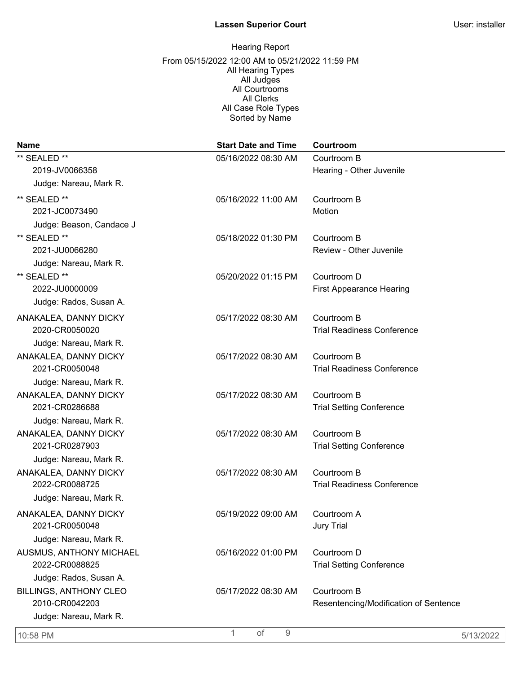# **Lassen Superior Court** User: installer

| <b>Name</b>                   | <b>Start Date and Time</b> | Courtroom                             |
|-------------------------------|----------------------------|---------------------------------------|
| ** SEALED **                  | 05/16/2022 08:30 AM        | Courtroom B                           |
| 2019-JV0066358                |                            | Hearing - Other Juvenile              |
| Judge: Nareau, Mark R.        |                            |                                       |
| ** SEALED **                  | 05/16/2022 11:00 AM        | Courtroom B                           |
| 2021-JC0073490                |                            | Motion                                |
| Judge: Beason, Candace J      |                            |                                       |
| ** SEALED **                  | 05/18/2022 01:30 PM        | Courtroom B                           |
| 2021-JU0066280                |                            | Review - Other Juvenile               |
| Judge: Nareau, Mark R.        |                            |                                       |
| ** SEALED **                  | 05/20/2022 01:15 PM        | Courtroom D                           |
| 2022-JU0000009                |                            | <b>First Appearance Hearing</b>       |
| Judge: Rados, Susan A.        |                            |                                       |
| ANAKALEA, DANNY DICKY         | 05/17/2022 08:30 AM        | Courtroom B                           |
| 2020-CR0050020                |                            | <b>Trial Readiness Conference</b>     |
| Judge: Nareau, Mark R.        |                            |                                       |
| ANAKALEA, DANNY DICKY         | 05/17/2022 08:30 AM        | Courtroom B                           |
| 2021-CR0050048                |                            | <b>Trial Readiness Conference</b>     |
| Judge: Nareau, Mark R.        |                            |                                       |
| ANAKALEA, DANNY DICKY         | 05/17/2022 08:30 AM        | Courtroom B                           |
| 2021-CR0286688                |                            | <b>Trial Setting Conference</b>       |
| Judge: Nareau, Mark R.        |                            |                                       |
| ANAKALEA, DANNY DICKY         | 05/17/2022 08:30 AM        | Courtroom B                           |
| 2021-CR0287903                |                            | <b>Trial Setting Conference</b>       |
| Judge: Nareau, Mark R.        |                            |                                       |
| ANAKALEA, DANNY DICKY         | 05/17/2022 08:30 AM        | Courtroom B                           |
| 2022-CR0088725                |                            | <b>Trial Readiness Conference</b>     |
| Judge: Nareau, Mark R.        |                            |                                       |
| ANAKALEA, DANNY DICKY         | 05/19/2022 09:00 AM        | Courtroom A                           |
| 2021-CR0050048                |                            | <b>Jury Trial</b>                     |
| Judge: Nareau, Mark R.        |                            |                                       |
| AUSMUS, ANTHONY MICHAEL       | 05/16/2022 01:00 PM        | Courtroom D                           |
| 2022-CR0088825                |                            | <b>Trial Setting Conference</b>       |
| Judge: Rados, Susan A.        |                            |                                       |
| <b>BILLINGS, ANTHONY CLEO</b> | 05/17/2022 08:30 AM        | Courtroom B                           |
| 2010-CR0042203                |                            | Resentencing/Modification of Sentence |
| Judge: Nareau, Mark R.        |                            |                                       |
| 10:58 PM                      | of<br>9<br>1               | 5/13/2022                             |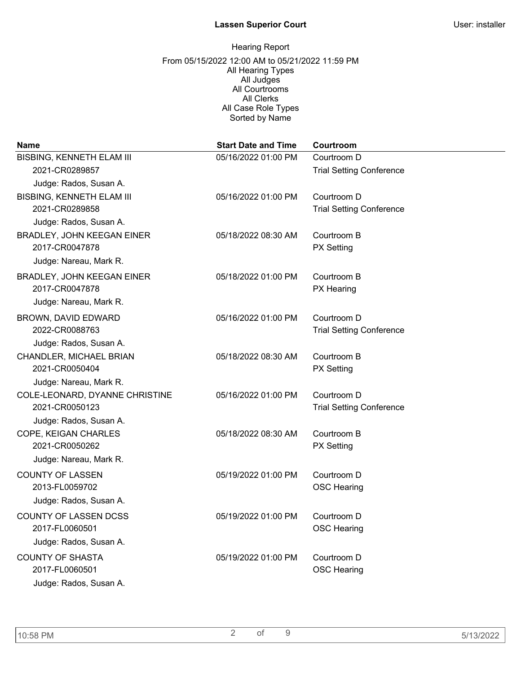| <b>Name</b>                       | <b>Start Date and Time</b> | Courtroom                       |
|-----------------------------------|----------------------------|---------------------------------|
| <b>BISBING, KENNETH ELAM III</b>  | 05/16/2022 01:00 PM        | Courtroom D                     |
| 2021-CR0289857                    |                            | <b>Trial Setting Conference</b> |
| Judge: Rados, Susan A.            |                            |                                 |
| <b>BISBING, KENNETH ELAM III</b>  | 05/16/2022 01:00 PM        | Courtroom D                     |
| 2021-CR0289858                    |                            | <b>Trial Setting Conference</b> |
| Judge: Rados, Susan A.            |                            |                                 |
| <b>BRADLEY, JOHN KEEGAN EINER</b> | 05/18/2022 08:30 AM        | Courtroom B                     |
| 2017-CR0047878                    |                            | <b>PX Setting</b>               |
| Judge: Nareau, Mark R.            |                            |                                 |
| BRADLEY, JOHN KEEGAN EINER        | 05/18/2022 01:00 PM        | Courtroom B                     |
| 2017-CR0047878                    |                            | <b>PX Hearing</b>               |
| Judge: Nareau, Mark R.            |                            |                                 |
| BROWN, DAVID EDWARD               | 05/16/2022 01:00 PM        | Courtroom D                     |
| 2022-CR0088763                    |                            | <b>Trial Setting Conference</b> |
| Judge: Rados, Susan A.            |                            |                                 |
| CHANDLER, MICHAEL BRIAN           | 05/18/2022 08:30 AM        | Courtroom B                     |
| 2021-CR0050404                    |                            | <b>PX Setting</b>               |
| Judge: Nareau, Mark R.            |                            |                                 |
| COLE-LEONARD, DYANNE CHRISTINE    | 05/16/2022 01:00 PM        | Courtroom D                     |
| 2021-CR0050123                    |                            | <b>Trial Setting Conference</b> |
| Judge: Rados, Susan A.            |                            |                                 |
| COPE, KEIGAN CHARLES              | 05/18/2022 08:30 AM        | Courtroom B                     |
| 2021-CR0050262                    |                            | <b>PX Setting</b>               |
| Judge: Nareau, Mark R.            |                            |                                 |
| <b>COUNTY OF LASSEN</b>           | 05/19/2022 01:00 PM        | Courtroom D                     |
| 2013-FL0059702                    |                            | <b>OSC Hearing</b>              |
| Judge: Rados, Susan A.            |                            |                                 |
| <b>COUNTY OF LASSEN DCSS</b>      | 05/19/2022 01:00 PM        | Courtroom D                     |
| 2017-FL0060501                    |                            | <b>OSC Hearing</b>              |
| Judge: Rados, Susan A.            |                            |                                 |
| <b>COUNTY OF SHASTA</b>           | 05/19/2022 01:00 PM        | Courtroom D                     |
| 2017-FL0060501                    |                            | <b>OSC Hearing</b>              |
| Judge: Rados, Susan A.            |                            |                                 |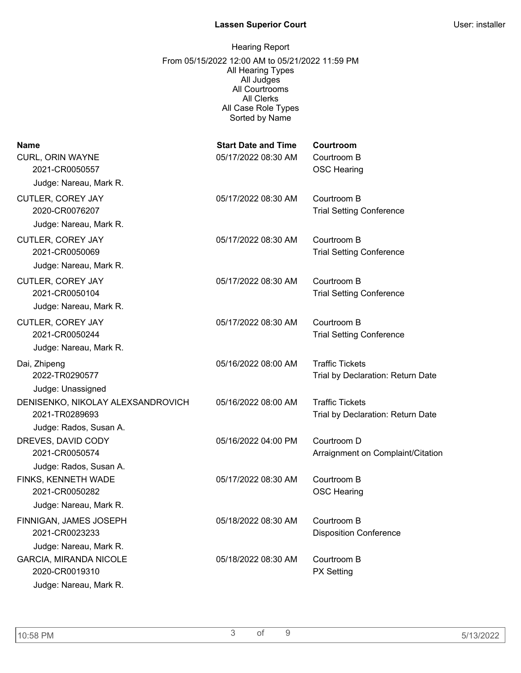| <b>Name</b><br><b>CURL, ORIN WAYNE</b><br>2021-CR0050557<br>Judge: Nareau, Mark R.                  | <b>Start Date and Time</b><br>05/17/2022 08:30 AM | Courtroom<br>Courtroom B<br><b>OSC Hearing</b>              |
|-----------------------------------------------------------------------------------------------------|---------------------------------------------------|-------------------------------------------------------------|
| CUTLER, COREY JAY<br>2020-CR0076207<br>Judge: Nareau, Mark R.                                       | 05/17/2022 08:30 AM                               | Courtroom B<br><b>Trial Setting Conference</b>              |
| CUTLER, COREY JAY<br>2021-CR0050069<br>Judge: Nareau, Mark R.                                       | 05/17/2022 08:30 AM                               | Courtroom B<br><b>Trial Setting Conference</b>              |
| CUTLER, COREY JAY<br>2021-CR0050104<br>Judge: Nareau, Mark R.                                       | 05/17/2022 08:30 AM                               | Courtroom B<br><b>Trial Setting Conference</b>              |
| CUTLER, COREY JAY<br>2021-CR0050244<br>Judge: Nareau, Mark R.                                       | 05/17/2022 08:30 AM                               | Courtroom B<br><b>Trial Setting Conference</b>              |
| Dai, Zhipeng<br>2022-TR0290577                                                                      | 05/16/2022 08:00 AM                               | <b>Traffic Tickets</b><br>Trial by Declaration: Return Date |
| Judge: Unassigned<br>DENISENKO, NIKOLAY ALEXSANDROVICH<br>2021-TR0289693                            | 05/16/2022 08:00 AM                               | <b>Traffic Tickets</b><br>Trial by Declaration: Return Date |
| Judge: Rados, Susan A.<br>DREVES, DAVID CODY<br>2021-CR0050574                                      | 05/16/2022 04:00 PM                               | Courtroom D<br>Arraignment on Complaint/Citation            |
| Judge: Rados, Susan A.<br>FINKS, KENNETH WADE<br>2021-CR0050282                                     | 05/17/2022 08:30 AM                               | Courtroom B<br><b>OSC Hearing</b>                           |
| Judge: Nareau, Mark R.<br>FINNIGAN, JAMES JOSEPH<br>2021-CR0023233                                  | 05/18/2022 08:30 AM                               | Courtroom B<br><b>Disposition Conference</b>                |
| Judge: Nareau, Mark R.<br><b>GARCIA, MIRANDA NICOLE</b><br>2020-CR0019310<br>Judge: Nareau, Mark R. | 05/18/2022 08:30 AM                               | Courtroom B<br><b>PX Setting</b>                            |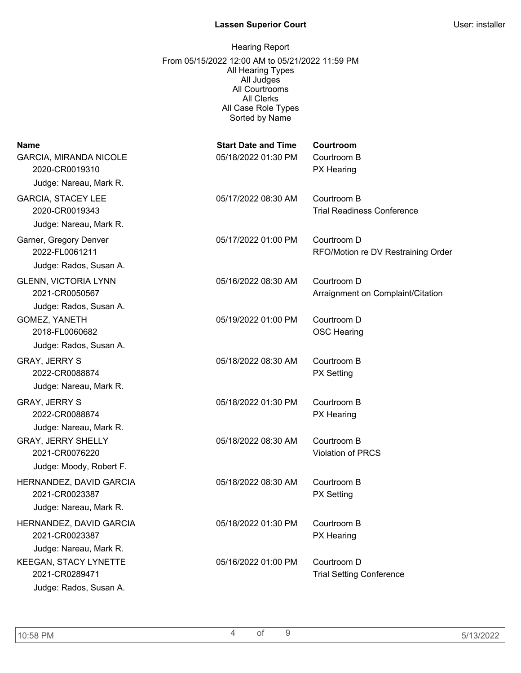| <b>Name</b><br><b>GARCIA, MIRANDA NICOLE</b><br>2020-CR0019310<br>Judge: Nareau, Mark R. | <b>Start Date and Time</b><br>05/18/2022 01:30 PM | Courtroom<br>Courtroom B<br><b>PX Hearing</b>     |
|------------------------------------------------------------------------------------------|---------------------------------------------------|---------------------------------------------------|
| <b>GARCIA, STACEY LEE</b><br>2020-CR0019343<br>Judge: Nareau, Mark R.                    | 05/17/2022 08:30 AM                               | Courtroom B<br><b>Trial Readiness Conference</b>  |
| Garner, Gregory Denver<br>2022-FL0061211<br>Judge: Rados, Susan A.                       | 05/17/2022 01:00 PM                               | Courtroom D<br>RFO/Motion re DV Restraining Order |
| <b>GLENN, VICTORIA LYNN</b><br>2021-CR0050567<br>Judge: Rados, Susan A.                  | 05/16/2022 08:30 AM                               | Courtroom D<br>Arraignment on Complaint/Citation  |
| GOMEZ, YANETH<br>2018-FL0060682<br>Judge: Rados, Susan A.                                | 05/19/2022 01:00 PM                               | Courtroom D<br><b>OSC Hearing</b>                 |
| <b>GRAY, JERRY S</b><br>2022-CR0088874<br>Judge: Nareau, Mark R.                         | 05/18/2022 08:30 AM                               | Courtroom B<br><b>PX Setting</b>                  |
| <b>GRAY, JERRY S</b><br>2022-CR0088874<br>Judge: Nareau, Mark R.                         | 05/18/2022 01:30 PM                               | Courtroom B<br><b>PX Hearing</b>                  |
| <b>GRAY, JERRY SHELLY</b><br>2021-CR0076220<br>Judge: Moody, Robert F.                   | 05/18/2022 08:30 AM                               | Courtroom B<br><b>Violation of PRCS</b>           |
| HERNANDEZ, DAVID GARCIA<br>2021-CR0023387<br>Judge: Nareau, Mark R.                      | 05/18/2022 08:30 AM                               | Courtroom B<br><b>PX Setting</b>                  |
| HERNANDEZ, DAVID GARCIA<br>2021-CR0023387<br>Judge: Nareau, Mark R.                      | 05/18/2022 01:30 PM                               | Courtroom B<br>PX Hearing                         |
| <b>KEEGAN, STACY LYNETTE</b><br>2021-CR0289471<br>Judge: Rados, Susan A.                 | 05/16/2022 01:00 PM                               | Courtroom D<br><b>Trial Setting Conference</b>    |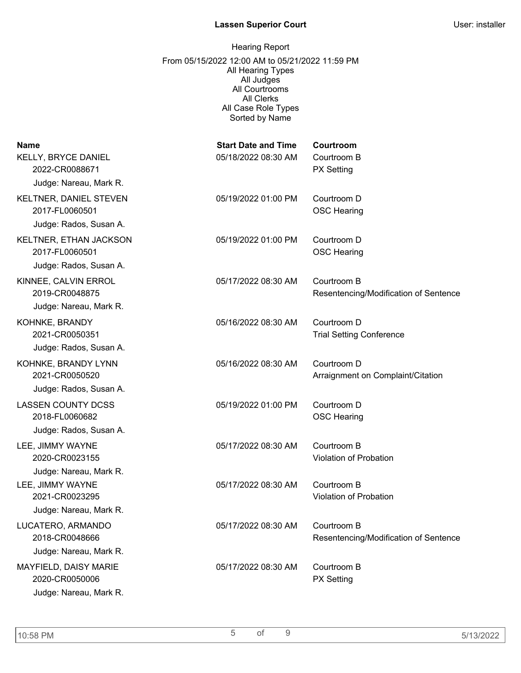| <b>Name</b><br><b>KELLY, BRYCE DANIEL</b><br>2022-CR0088671<br>Judge: Nareau, Mark R. | <b>Start Date and Time</b><br>05/18/2022 08:30 AM | Courtroom<br>Courtroom B<br><b>PX Setting</b>        |
|---------------------------------------------------------------------------------------|---------------------------------------------------|------------------------------------------------------|
| <b>KELTNER, DANIEL STEVEN</b><br>2017-FL0060501<br>Judge: Rados, Susan A.             | 05/19/2022 01:00 PM                               | Courtroom D<br><b>OSC Hearing</b>                    |
| KELTNER, ETHAN JACKSON<br>2017-FL0060501<br>Judge: Rados, Susan A.                    | 05/19/2022 01:00 PM                               | Courtroom D<br><b>OSC Hearing</b>                    |
| KINNEE, CALVIN ERROL<br>2019-CR0048875<br>Judge: Nareau, Mark R.                      | 05/17/2022 08:30 AM                               | Courtroom B<br>Resentencing/Modification of Sentence |
| KOHNKE, BRANDY<br>2021-CR0050351<br>Judge: Rados, Susan A.                            | 05/16/2022 08:30 AM                               | Courtroom D<br><b>Trial Setting Conference</b>       |
| KOHNKE, BRANDY LYNN<br>2021-CR0050520<br>Judge: Rados, Susan A.                       | 05/16/2022 08:30 AM                               | Courtroom D<br>Arraignment on Complaint/Citation     |
| <b>LASSEN COUNTY DCSS</b><br>2018-FL0060682<br>Judge: Rados, Susan A.                 | 05/19/2022 01:00 PM                               | Courtroom D<br><b>OSC Hearing</b>                    |
| LEE, JIMMY WAYNE<br>2020-CR0023155<br>Judge: Nareau, Mark R.                          | 05/17/2022 08:30 AM                               | Courtroom B<br>Violation of Probation                |
| LEE, JIMMY WAYNE<br>2021-CR0023295<br>Judge: Nareau, Mark R.                          | 05/17/2022 08:30 AM                               | Courtroom B<br>Violation of Probation                |
| LUCATERO, ARMANDO<br>2018-CR0048666<br>Judge: Nareau, Mark R.                         | 05/17/2022 08:30 AM                               | Courtroom B<br>Resentencing/Modification of Sentence |
| MAYFIELD, DAISY MARIE<br>2020-CR0050006<br>Judge: Nareau, Mark R.                     | 05/17/2022 08:30 AM                               | Courtroom B<br><b>PX Setting</b>                     |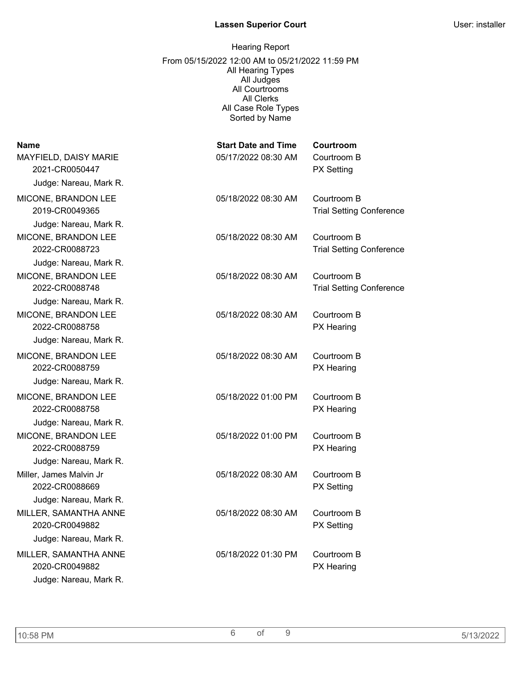| <b>Name</b><br>MAYFIELD, DAISY MARIE<br>2021-CR0050447          | <b>Start Date and Time</b><br>05/17/2022 08:30 AM | Courtroom<br>Courtroom B<br><b>PX Setting</b>  |
|-----------------------------------------------------------------|---------------------------------------------------|------------------------------------------------|
| Judge: Nareau, Mark R.                                          |                                                   |                                                |
| MICONE, BRANDON LEE<br>2019-CR0049365                           | 05/18/2022 08:30 AM                               | Courtroom B<br><b>Trial Setting Conference</b> |
| Judge: Nareau, Mark R.<br>MICONE, BRANDON LEE<br>2022-CR0088723 | 05/18/2022 08:30 AM                               | Courtroom B<br><b>Trial Setting Conference</b> |
| Judge: Nareau, Mark R.                                          |                                                   |                                                |
| MICONE, BRANDON LEE<br>2022-CR0088748                           | 05/18/2022 08:30 AM                               | Courtroom B<br><b>Trial Setting Conference</b> |
| Judge: Nareau, Mark R.                                          |                                                   |                                                |
| MICONE, BRANDON LEE<br>2022-CR0088758                           | 05/18/2022 08:30 AM                               | Courtroom B<br><b>PX Hearing</b>               |
| Judge: Nareau, Mark R.                                          |                                                   |                                                |
| MICONE, BRANDON LEE<br>2022-CR0088759                           | 05/18/2022 08:30 AM                               | Courtroom B<br><b>PX Hearing</b>               |
| Judge: Nareau, Mark R.                                          |                                                   |                                                |
| MICONE, BRANDON LEE<br>2022-CR0088758                           | 05/18/2022 01:00 PM                               | Courtroom B<br><b>PX Hearing</b>               |
| Judge: Nareau, Mark R.                                          |                                                   |                                                |
| MICONE, BRANDON LEE<br>2022-CR0088759                           | 05/18/2022 01:00 PM                               | Courtroom B<br><b>PX Hearing</b>               |
| Judge: Nareau, Mark R.                                          |                                                   |                                                |
| Miller, James Malvin Jr<br>2022-CR0088669                       | 05/18/2022 08:30 AM                               | Courtroom B<br><b>PX Setting</b>               |
| Judge: Nareau, Mark R.                                          |                                                   |                                                |
| MILLER, SAMANTHA ANNE<br>2020-CR0049882                         | 05/18/2022 08:30 AM                               | Courtroom B<br><b>PX Setting</b>               |
| Judge: Nareau, Mark R.                                          |                                                   |                                                |
| MILLER, SAMANTHA ANNE<br>2020-CR0049882                         | 05/18/2022 01:30 PM                               | Courtroom B<br>PX Hearing                      |
| Judge: Nareau, Mark R.                                          |                                                   |                                                |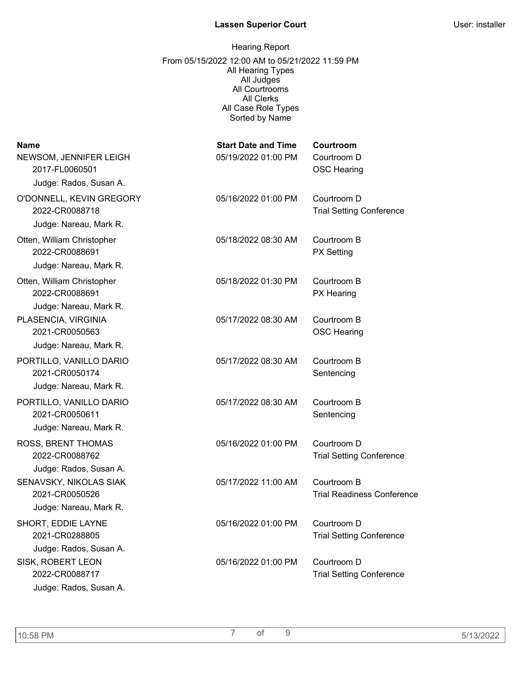| <b>Name</b><br>NEWSOM, JENNIFER LEIGH<br>2017-FL0060501<br>Judge: Rados, Susan A.            | <b>Start Date and Time</b><br>05/19/2022 01:00 PM | Courtroom<br>Courtroom D<br><b>OSC Hearing</b>   |
|----------------------------------------------------------------------------------------------|---------------------------------------------------|--------------------------------------------------|
| O'DONNELL, KEVIN GREGORY<br>2022-CR0088718<br>Judge: Nareau, Mark R.                         | 05/16/2022 01:00 PM                               | Courtroom D<br><b>Trial Setting Conference</b>   |
| Otten, William Christopher<br>2022-CR0088691<br>Judge: Nareau, Mark R.                       | 05/18/2022 08:30 AM                               | Courtroom B<br><b>PX Setting</b>                 |
| Otten, William Christopher<br>2022-CR0088691<br>Judge: Nareau, Mark R.                       | 05/18/2022 01:30 PM                               | Courtroom B<br>PX Hearing                        |
| PLASENCIA, VIRGINIA<br>2021-CR0050563<br>Judge: Nareau, Mark R.                              | 05/17/2022 08:30 AM                               | Courtroom B<br><b>OSC Hearing</b>                |
| PORTILLO, VANILLO DARIO<br>2021-CR0050174<br>Judge: Nareau, Mark R.                          | 05/17/2022 08:30 AM                               | Courtroom B<br>Sentencing                        |
| PORTILLO, VANILLO DARIO<br>2021-CR0050611                                                    | 05/17/2022 08:30 AM                               | Courtroom B<br>Sentencing                        |
| Judge: Nareau, Mark R.<br>ROSS, BRENT THOMAS<br>2022-CR0088762                               | 05/16/2022 01:00 PM                               | Courtroom D<br><b>Trial Setting Conference</b>   |
| Judge: Rados, Susan A.<br>SENAVSKY, NIKOLAS SIAK<br>2021-CR0050526<br>Judge: Nareau, Mark R. | 05/17/2022 11:00 AM                               | Courtroom B<br><b>Trial Readiness Conference</b> |
| SHORT, EDDIE LAYNE<br>2021-CR0288805                                                         | 05/16/2022 01:00 PM                               | Courtroom D<br><b>Trial Setting Conference</b>   |
| Judge: Rados, Susan A.<br>SISK, ROBERT LEON<br>2022-CR0088717<br>Judge: Rados, Susan A.      | 05/16/2022 01:00 PM                               | Courtroom D<br><b>Trial Setting Conference</b>   |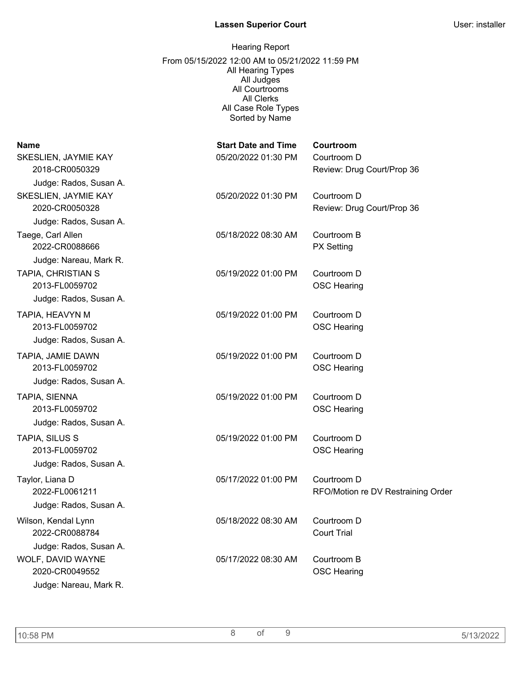| <b>Name</b><br>SKESLIEN, JAYMIE KAY                               | <b>Start Date and Time</b><br>05/20/2022 01:30 PM | Courtroom<br>Courtroom D                          |
|-------------------------------------------------------------------|---------------------------------------------------|---------------------------------------------------|
| 2018-CR0050329                                                    |                                                   | Review: Drug Court/Prop 36                        |
| Judge: Rados, Susan A.                                            |                                                   |                                                   |
| SKESLIEN, JAYMIE KAY<br>2020-CR0050328                            | 05/20/2022 01:30 PM                               | Courtroom D<br>Review: Drug Court/Prop 36         |
| Judge: Rados, Susan A.                                            |                                                   |                                                   |
| Taege, Carl Allen<br>2022-CR0088666                               | 05/18/2022 08:30 AM                               | Courtroom B<br><b>PX Setting</b>                  |
| Judge: Nareau, Mark R.                                            |                                                   |                                                   |
| TAPIA, CHRISTIAN S<br>2013-FL0059702<br>Judge: Rados, Susan A.    | 05/19/2022 01:00 PM                               | Courtroom D<br><b>OSC Hearing</b>                 |
| TAPIA, HEAVYN M                                                   | 05/19/2022 01:00 PM                               | Courtroom D                                       |
| 2013-FL0059702<br>Judge: Rados, Susan A.                          |                                                   | <b>OSC Hearing</b>                                |
|                                                                   |                                                   |                                                   |
| TAPIA, JAMIE DAWN<br>2013-FL0059702                               | 05/19/2022 01:00 PM                               | Courtroom D<br><b>OSC Hearing</b>                 |
| Judge: Rados, Susan A.                                            |                                                   |                                                   |
| TAPIA, SIENNA<br>2013-FL0059702                                   | 05/19/2022 01:00 PM                               | Courtroom D<br><b>OSC Hearing</b>                 |
| Judge: Rados, Susan A.                                            |                                                   |                                                   |
| <b>TAPIA, SILUS S</b><br>2013-FL0059702<br>Judge: Rados, Susan A. | 05/19/2022 01:00 PM                               | Courtroom D<br><b>OSC Hearing</b>                 |
| Taylor, Liana D<br>2022-FL0061211                                 | 05/17/2022 01:00 PM                               | Courtroom D<br>RFO/Motion re DV Restraining Order |
| Judge: Rados, Susan A.                                            |                                                   |                                                   |
| Wilson, Kendal Lynn<br>2022-CR0088784                             | 05/18/2022 08:30 AM                               | Courtroom D<br><b>Court Trial</b>                 |
| Judge: Rados, Susan A.                                            |                                                   |                                                   |
| WOLF, DAVID WAYNE<br>2020-CR0049552                               | 05/17/2022 08:30 AM                               | Courtroom B<br><b>OSC Hearing</b>                 |
| Judge: Nareau, Mark R.                                            |                                                   |                                                   |